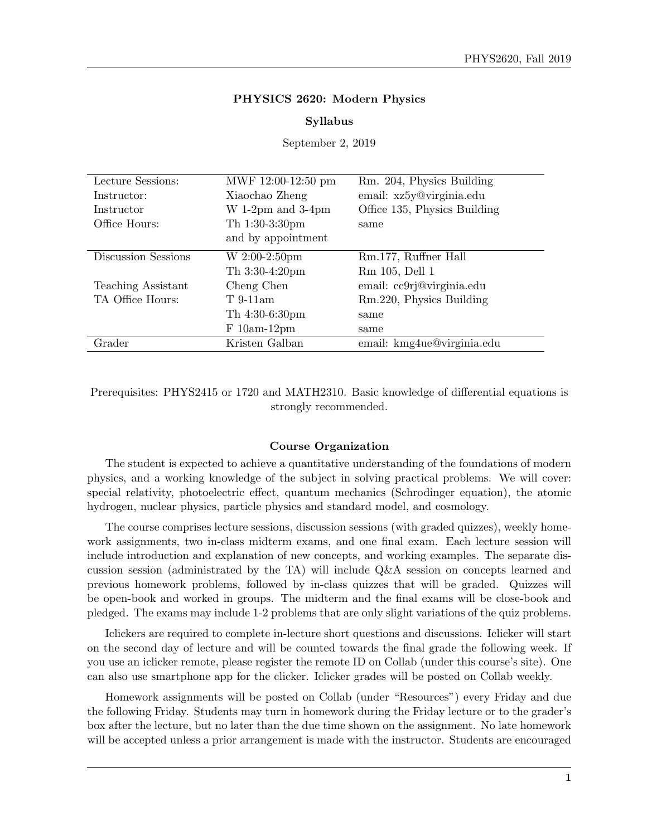### PHYSICS 2620: Modern Physics

#### Syllabus

September 2, 2019

| Lecture Sessions:   | MWF 12:00-12:50 pm   | Rm. 204, Physics Building    |
|---------------------|----------------------|------------------------------|
| Instructor:         | Xiaochao Zheng       | email: xz5y@virginia.edu     |
| Instructor          | W 1-2pm and $3-4$ pm | Office 135, Physics Building |
| Office Hours:       | Th $1:30-3:30$ pm    | same                         |
|                     | and by appointment   |                              |
| Discussion Sessions | W 2:00-2:50pm        | Rm.177, Ruffner Hall         |
|                     | Th $3:30-4:20$ pm    | Rm 105, Dell 1               |
| Teaching Assistant  | Cheng Chen           | email: cc9rj@virginia.edu    |
| TA Office Hours:    | $T_{.}9-11am$        | Rm.220, Physics Building     |
|                     | Th $4:30-6:30$ pm    | same                         |
|                     | $F_10am-12pm$        | same                         |
| Grader              | Kristen Galban       | email: kmg4ue@virginia.edu   |

Prerequisites: PHYS2415 or 1720 and MATH2310. Basic knowledge of differential equations is strongly recommended.

### Course Organization

The student is expected to achieve a quantitative understanding of the foundations of modern physics, and a working knowledge of the subject in solving practical problems. We will cover: special relativity, photoelectric effect, quantum mechanics (Schrodinger equation), the atomic hydrogen, nuclear physics, particle physics and standard model, and cosmology.

The course comprises lecture sessions, discussion sessions (with graded quizzes), weekly homework assignments, two in-class midterm exams, and one final exam. Each lecture session will include introduction and explanation of new concepts, and working examples. The separate discussion session (administrated by the TA) will include Q&A session on concepts learned and previous homework problems, followed by in-class quizzes that will be graded. Quizzes will be open-book and worked in groups. The midterm and the final exams will be close-book and pledged. The exams may include 1-2 problems that are only slight variations of the quiz problems.

Iclickers are required to complete in-lecture short questions and discussions. Iclicker will start on the second day of lecture and will be counted towards the final grade the following week. If you use an iclicker remote, please register the remote ID on Collab (under this course's site). One can also use smartphone app for the clicker. Iclicker grades will be posted on Collab weekly.

Homework assignments will be posted on Collab (under "Resources") every Friday and due the following Friday. Students may turn in homework during the Friday lecture or to the grader's box after the lecture, but no later than the due time shown on the assignment. No late homework will be accepted unless a prior arrangement is made with the instructor. Students are encouraged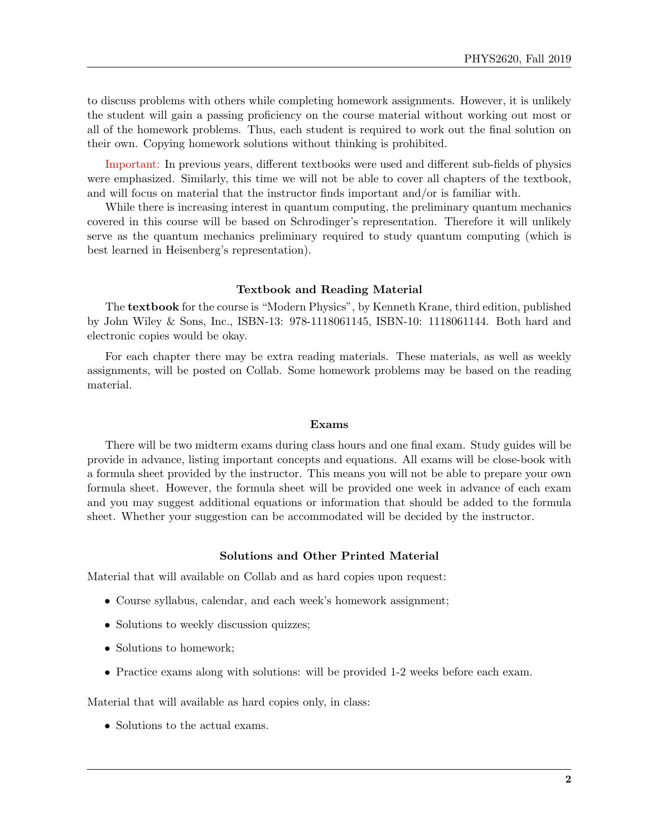to discuss problems with others while completing homework assignments. However, it is unlikely the student will gain a passing proficiency on the course material without working out most or all of the homework problems. Thus, each student is required to work out the final solution on their own. Copying homework solutions without thinking is prohibited.

Important: In previous years, different textbooks were used and different sub-fields of physics were emphasized. Similarly, this time we will not be able to cover all chapters of the textbook, and will focus on material that the instructor finds important and/or is familiar with.

While there is increasing interest in quantum computing, the preliminary quantum mechanics covered in this course will be based on Schrodinger's representation. Therefore it will unlikely serve as the quantum mechanics preliminary required to study quantum computing (which is best learned in Heisenberg's representation).

# Textbook and Reading Material

The textbook for the course is "Modern Physics", by Kenneth Krane, third edition, published by John Wiley & Sons, Inc., ISBN-13: 978-1118061145, ISBN-10: 1118061144. Both hard and electronic copies would be okay.

For each chapter there may be extra reading materials. These materials, as well as weekly assignments, will be posted on Collab. Some homework problems may be based on the reading material.

#### Exams

There will be two midterm exams during class hours and one final exam. Study guides will be provide in advance, listing important concepts and equations. All exams will be close-book with a formula sheet provided by the instructor. This means you will not be able to prepare your own formula sheet. However, the formula sheet will be provided one week in advance of each exam and you may suggest additional equations or information that should be added to the formula sheet. Whether your suggestion can be accommodated will be decided by the instructor.

## Solutions and Other Printed Material

Material that will available on Collab and as hard copies upon request:

- Course syllabus, calendar, and each week's homework assignment;
- Solutions to weekly discussion quizzes;
- Solutions to homework;
- Practice exams along with solutions: will be provided 1-2 weeks before each exam.

Material that will available as hard copies only, in class:

• Solutions to the actual exams.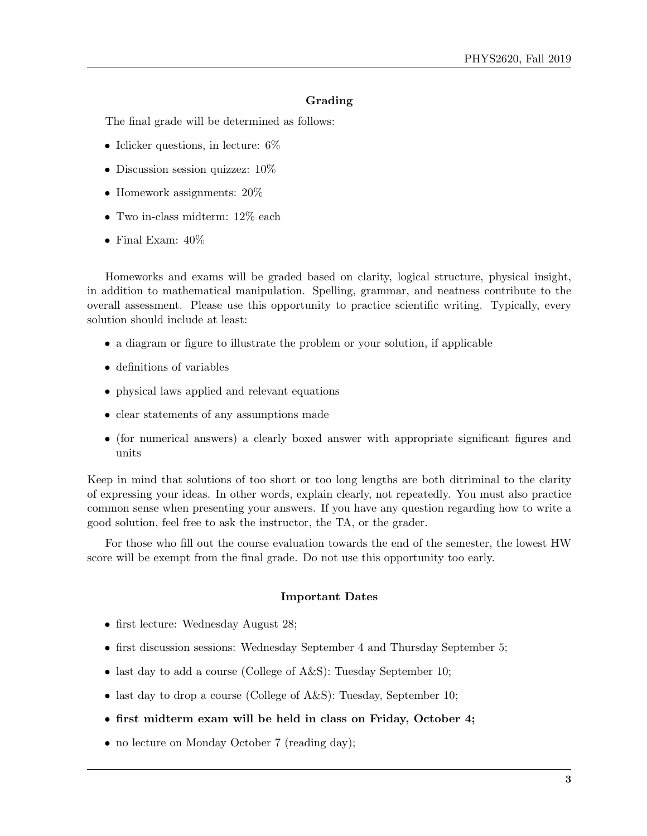## Grading

The final grade will be determined as follows:

- Iclicker questions, in lecture:  $6\%$
- Discussion session quizzez:  $10\%$
- Homework assignments:  $20\%$
- Two in-class midterm: 12% each
- Final Exam: 40%

Homeworks and exams will be graded based on clarity, logical structure, physical insight, in addition to mathematical manipulation. Spelling, grammar, and neatness contribute to the overall assessment. Please use this opportunity to practice scientific writing. Typically, every solution should include at least:

- a diagram or figure to illustrate the problem or your solution, if applicable
- definitions of variables
- physical laws applied and relevant equations
- clear statements of any assumptions made
- (for numerical answers) a clearly boxed answer with appropriate significant figures and units

Keep in mind that solutions of too short or too long lengths are both ditriminal to the clarity of expressing your ideas. In other words, explain clearly, not repeatedly. You must also practice common sense when presenting your answers. If you have any question regarding how to write a good solution, feel free to ask the instructor, the TA, or the grader.

For those who fill out the course evaluation towards the end of the semester, the lowest HW score will be exempt from the final grade. Do not use this opportunity too early.

### Important Dates

- first lecture: Wednesday August 28;
- first discussion sessions: Wednesday September 4 and Thursday September 5;
- last day to add a course (College of A&S): Tuesday September 10;
- last day to drop a course (College of A&S): Tuesday, September 10;
- first midterm exam will be held in class on Friday, October 4;
- no lecture on Monday October 7 (reading day);